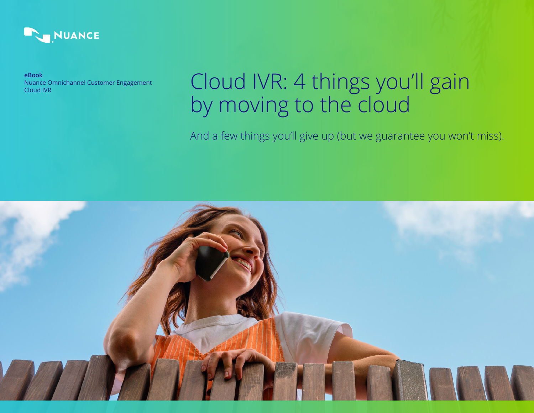

**eBook** Nuance Omnichannel Customer Engagement Cloud IVR

# Cloud IVR: 4 things you'll gain by moving to the cloud

And a few things you'll give up (but we guarantee you won't miss).

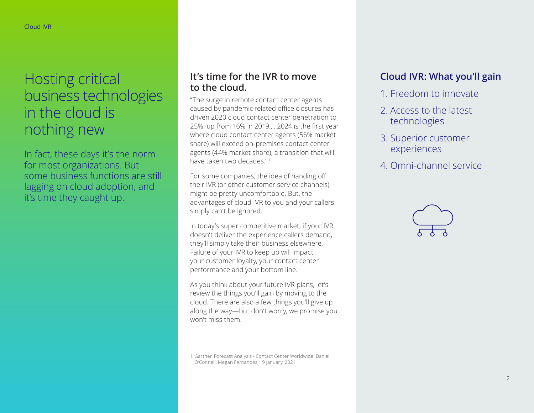## Hosting critical business technologies in the cloud is nothing new

In fact, these days it's the norm for most organizations. But some business functions are still lagging on cloud adoption, and it's time they caught up.

### **It's time for the IVR to move to the cloud.**

"The surge in remote contact center agents caused by pandemic-related office closures has driven 2020 cloud contact center penetration to 25%, up from 16% in 2019.....2024 is the first year where cloud contact center agents (56% market share) will exceed on-premises contact center agents (44% market share), a transition that will have taken two decades." <sup>1</sup>

For some companies, the idea of handing off their IVR (or other customer service channels) might be pretty uncomfortable. But, the advantages of cloud IVR to you and your callers simply can't be ignored.

In today's super competitive market, if your IVR doesn't deliver the experience callers demand, they'll simply take their business elsewhere. Failure of your IVR to keep up will impact your customer loyalty, your contact center performance and your bottom line.

As you think about your future IVR plans, let's review the things you'll gain by moving to the cloud. There are also a few things you'll give up along the way—but don't worry, we promise you won't miss them.

1 Gartner, Forecast Analysis - Contact Center Worldwide, Daniel O'Connell, Megan Fernandez, 19 January, 2021

## **Cloud IVR: What you'll gain**

- 1. Freedom to innovate
- 2. Access to the latest technologies
- 3. Superior customer experiences
- 4. Omni-channel service

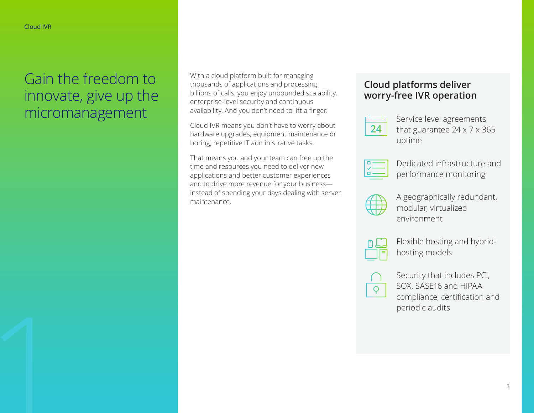## Gain the freedom to innovate, give up the micromanagement

With a cloud platform built for managing thousands of applications and processing billions of calls, you enjoy unbounded scalability, enterprise-level security and continuous availability. And you don't need to lift a finger.

Cloud IVR means you don't have to worry about hardware upgrades, equipment maintenance or boring, repetitive IT administrative tasks.

That means you and your team can free up the time and resources you need to deliver new applications and better customer experiences and to drive more revenue for your business instead of spending your days dealing with server maintenance.

### **Cloud platforms deliver worry-free IVR operation**



Service level agreements that guarantee 24 x 7 x 365 uptime



Dedicated infrastructure and performance monitoring



A geographically redundant, modular, virtualized environment



Flexible hosting and hybridhosting models



Security that includes PCI, SOX, SASE16 and HIPAA compliance, certification and periodic audits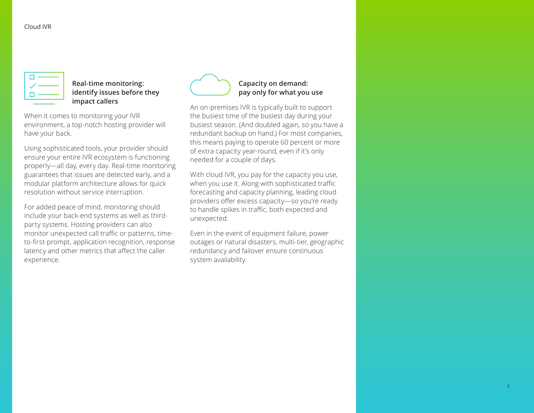| ¢. |  |
|----|--|
| ∕  |  |
| n. |  |
|    |  |

#### **Real-time monitoring: identify issues before they impact callers**

When it comes to monitoring your IVR environment, a top-notch hosting provider will have your back.

Using sophisticated tools, your provider should ensure your entire IVR ecosystem is functioning properly—all day, every day. Real-time monitoring guarantees that issues are detected early, and a modular platform architecture allows for quick resolution without service interruption.

For added peace of mind, monitoring should include your back-end systems as well as thirdparty systems. Hosting providers can also monitor unexpected call traffic or patterns, timeto-first-prompt, application recognition, response latency and other metrics that affect the caller experience.



#### **Capacity on demand: pay only for what you use**

An on-premises IVR is typically built to support the busiest time of the busiest day during your busiest season. (And doubled again, so you have a redundant backup on hand.) For most companies, this means paying to operate 60 percent or more of extra capacity year-round, even if it's only needed for a couple of days.

With cloud IVR, you pay for the capacity you use, when you use it. Along with sophisticated traffic forecasting and capacity planning, leading cloud providers offer excess capacity—so you're ready to handle spikes in traffic, both expected and unexpected.

Even in the event of equipment failure, power outages or natural disasters, multi-tier, geographic redundancy and failover ensure continuous system availability.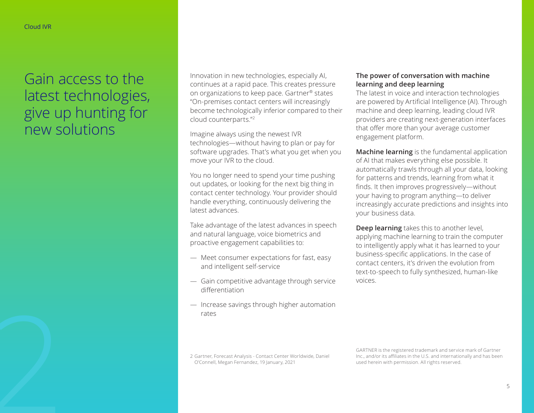## Gain access to the latest technologies, give up hunting for new solutions

Innovation in new technologies, especially AI, continues at a rapid pace. This creates pressure on organizations to keep pace. Gartner® states "On-premises contact centers will increasingly become technologically inferior compared to their cloud counterparts."2

Imagine always using the newest IVR technologies—without having to plan or pay for software upgrades. That's what you get when you move your IVR to the cloud.

You no longer need to spend your time pushing out updates, or looking for the next big thing in contact center technology. Your provider should handle everything, continuously delivering the latest advances.

Take advantage of the latest advances in speech and natural language, voice biometrics and proactive engagement capabilities to:

- Meet consumer expectations for fast, easy and intelligent self-service
- Gain competitive advantage through service differentiation
- Increase savings through higher automation rates

#### **The power of conversation with machine learning and deep learning**

The latest in voice and interaction technologies are powered by Artificial Intelligence (AI). Through machine and deep learning, leading cloud IVR providers are creating next-generation interfaces that offer more than your average customer engagement platform.

**Machine learning** is the fundamental application of AI that makes everything else possible. It automatically trawls through all your data, looking for patterns and trends, learning from what it finds. It then improves progressively—without your having to program anything—to deliver increasingly accurate predictions and insights into your business data.

**Deep learning** takes this to another level, applying machine learning to train the computer to intelligently apply what it has learned to your business-specific applications. In the case of contact centers, it's driven the evolution from text-to-speech to fully synthesized, human-like voices.

Process Contact Center Worldwide, Daniel<br>2 Gartner, Forecast Analysis - Contact Center Worldwide, Daniel<br>2 Gartner, Forecast Analysis - Contact Center Worldwide, Daniel<br>2 Gartner, Forecast Analysis - Contact Center Worldwi O'Connell, Megan Fernandez, 19 January, 2021

GARTNER is the registered trademark and service mark of Gartner Inc., and/or its affiliates in the U.S. and internationally and has been used herein with permission. All rights reserved.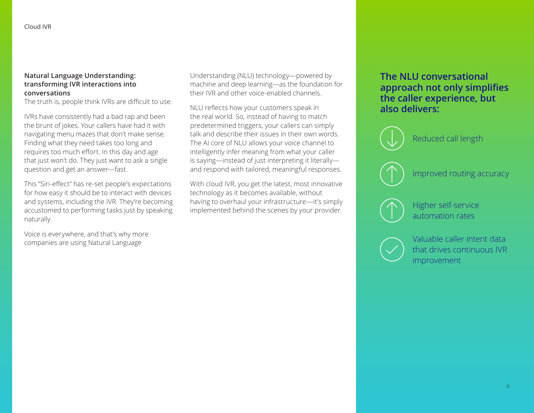#### **Natural Language Understanding: transforming IVR interactions into conversations**

The truth is, people think IVRs are difficult to use.

IVRs have consistently had a bad rap and been the brunt of jokes. Your callers have had it with navigating menu mazes that don't make sense. Finding what they need takes too long and requires too much effort. In this day and age that just won't do. They just want to ask a single question and get an answer—fast.

This "Siri-effect" has re-set people's expectations for how easy it should be to interact with devices and systems, including the IVR. They're becoming accustomed to performing tasks just by speaking naturally.

Voice is everywhere, and that's why more companies are using Natural Language

Understanding (NLU) technology—powered by machine and deep learning—as the foundation for their IVR and other voice-enabled channels.

NLU reflects how your customers speak in the real world. So, instead of having to match predetermined triggers, your callers can simply talk and describe their issues in their own words. The AI core of NLU allows your voice channel to intelligently infer meaning from what your caller is saying—instead of just interpreting it literally and respond with tailored, meaningful responses.

With cloud IVR, you get the latest, most innovative technology as it becomes available, without having to overhaul your infrastructure—it's simply implemented behind the scenes by your provider.

### **The NLU conversational approach not only simplifies the caller experience, but also delivers:**





Valuable caller intent data that drives continuous IVR improvement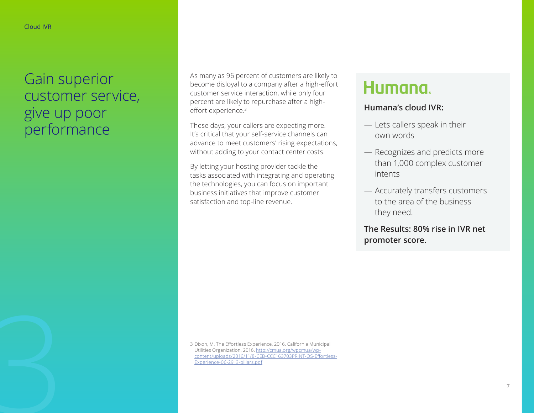## Gain superior customer service, give up poor performance

As many as 96 percent of customers are likely to become disloyal to a company after a high-effort customer service interaction, while only four percent are likely to repurchase after a higheffort experience.<sup>3</sup>

These days, your callers are expecting more. It's critical that your self-service channels can advance to meet customers' rising expectations, without adding to your contact center costs.

By letting your hosting provider tackle the tasks associated with integrating and operating the technologies, you can focus on important business initiatives that improve customer satisfaction and top-line revenue.

## **Humana**

### **Humana's cloud IVR:**

- Lets callers speak in their own words
- Recognizes and predicts more than 1,000 complex customer intents
- Accurately transfers customers to the area of the business they need.

**The Results: 80% rise in IVR net promoter score.** 

3 Dixon, M. The Effortless Experience. 2016. California Municipal<br>Utilities Organization. 2016. <u>http://cmua.org/wpcmua/wp-</u><br>content/uploads/2016/11/8-CEB-CCC163703PRINT-OS-Effortle<br>Experience-06-29\_3-pillars.pdf Utilities Organization. 2016. [http://cmua.org/wpcmua/wp](http://cmua.org/wpcmua/wp-content/uploads/2016/11/8-CEB-CCC163703PRINT-OS-Effortless-Experience-06-2)[content/uploads/2016/11/8-CEB-CCC163703PRINT-OS-Effortless-](http://cmua.org/wpcmua/wp-content/uploads/2016/11/8-CEB-CCC163703PRINT-OS-Effortless-Experience-06-2)[Experience-06-29\\_3-pillars.pdf](http://cmua.org/wpcmua/wp-content/uploads/2016/11/8-CEB-CCC163703PRINT-OS-Effortless-Experience-06-2)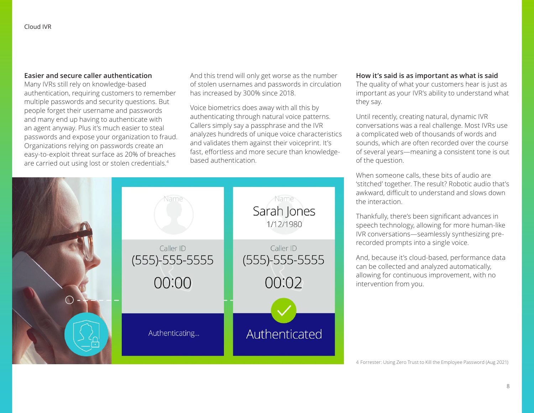#### **Easier and secure caller authentication**

Many IVRs still rely on knowledge-based authentication, requiring customers to remember multiple passwords and security questions. But people forget their username and passwords and many end up having to authenticate with an agent anyway. Plus it's much easier to steal passwords and expose your organization to fraud. Organizations relying on passwords create an easy-to-exploit threat surface as 20% of breaches are carried out using lost or stolen credentials.<sup>4</sup>

And this trend will only get worse as the number of stolen usernames and passwords in circulation has increased by 300% since 2018.

Voice biometrics does away with all this by authenticating through natural voice patterns. Callers simply say a passphrase and the IVR analyzes hundreds of unique voice characteristics and validates them against their voiceprint. It's fast, effortless and more secure than knowledgebased authentication.

#### **How it's said is as important as what is said**

The quality of what your customers hear is just as important as your IVR's ability to understand what they say.

Until recently, creating natural, dynamic IVR conversations was a real challenge. Most IVRs use a complicated web of thousands of words and sounds, which are often recorded over the course of several years—meaning a consistent tone is out of the question.

When someone calls, these bits of audio are 'stitched' together. The result? Robotic audio that's awkward, difficult to understand and slows down the interaction.

Thankfully, there's been significant advances in speech technology, allowing for more human-like IVR conversations—seamlessly synthesizing prerecorded prompts into a single voice.

And, because it's cloud-based, performance data can be collected and analyzed automatically, allowing for continuous improvement, with no intervention from you.

4 Forrester: Using Zero Trust to Kill the Employee Password (Aug 2021)

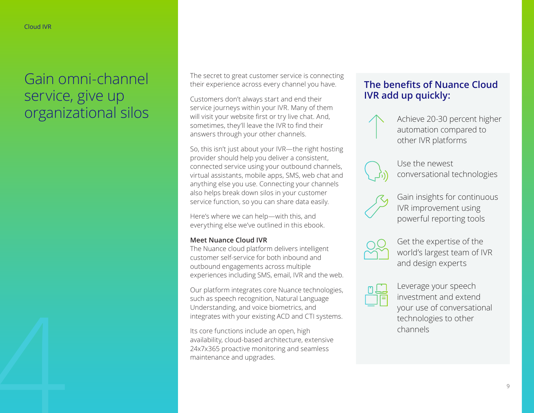## Gain omni-channel service, give up organizational silos

The secret to great customer service is connecting their experience across every channel you have.

Customers don't always start and end their service journeys within your IVR. Many of them will visit your website first or try live chat. And, sometimes, they'll leave the IVR to find their answers through your other channels.

So, this isn't just about your IVR—the right hosting provider should help you deliver a consistent, connected service using your outbound channels, virtual assistants, mobile apps, SMS, web chat and anything else you use. Connecting your channels also helps break down silos in your customer service function, so you can share data easily.

Here's where we can help—with this, and everything else we've outlined in this ebook.

#### **Meet Nuance Cloud IVR**

The Nuance cloud platform delivers intelligent customer self-service for both inbound and outbound engagements across multiple experiences including SMS, email, IVR and the web.

Our platform integrates core Nuance technologies, such as speech recognition, Natural Language Understanding, and voice biometrics, and integrates with your existing ACD and CTI systems.

Its core functions include an open, high availability, cloud-based architecture, extensive 24x7x365 proactive monitoring and seamless maintenance and upgrades.

### **The benefits of Nuance Cloud IVR add up quickly:**

Achieve 20-30 percent higher automation compared to other IVR platforms



Use the newest conversational technologies



Gain insights for continuous IVR improvement using powerful reporting tools



Get the expertise of the world's largest team of IVR and design experts



Leverage your speech investment and extend your use of conversational technologies to other channels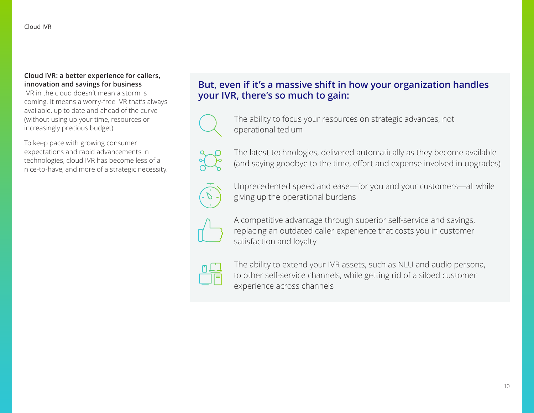#### **Cloud IVR: a better experience for callers, innovation and savings for business**

IVR in the cloud doesn't mean a storm is coming. It means a worry-free IVR that's always available, up to date and ahead of the curve (without using up your time, resources or increasingly precious budget).

To keep pace with growing consumer expectations and rapid advancements in technologies, cloud IVR has become less of a nice-to-have, and more of a strategic necessity.

### **But, even if it's a massive shift in how your organization handles your IVR, there's so much to gain:**



The ability to focus your resources on strategic advances, not operational tedium



The latest technologies, delivered automatically as they become available (and saying goodbye to the time, effort and expense involved in upgrades)



Unprecedented speed and ease—for you and your customers—all while giving up the operational burdens



A competitive advantage through superior self-service and savings, replacing an outdated caller experience that costs you in customer satisfaction and loyalty



The ability to extend your IVR assets, such as NLU and audio persona, to other self-service channels, while getting rid of a siloed customer experience across channels